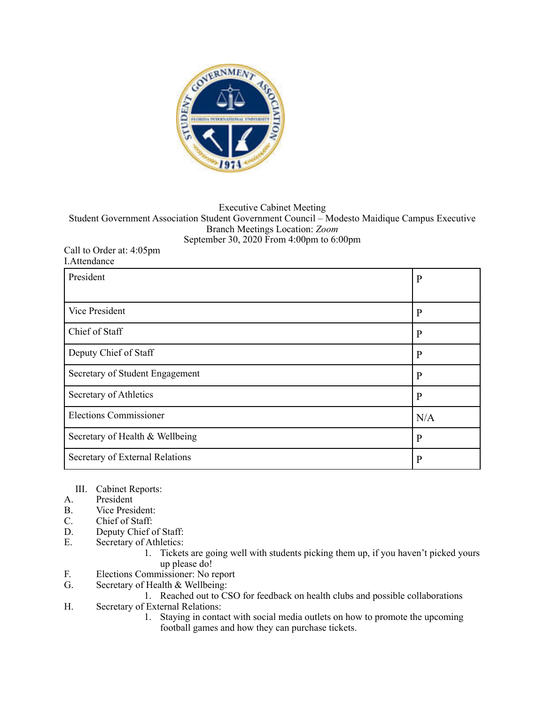

## Executive Cabinet Meeting Student Government Association Student Government Council – Modesto Maidique Campus Executive Branch Meetings Location: *Zoom*  September 30, 2020 From 4:00pm to 6:00pm

## Call to Order at: 4:05pm I.Attendance

| President                       | $\mathbf{P}$ |
|---------------------------------|--------------|
|                                 |              |
| Vice President                  | $\mathbf{P}$ |
| Chief of Staff                  | $\mathbf{P}$ |
| Deputy Chief of Staff           | $\mathbf{P}$ |
| Secretary of Student Engagement | $\mathbf{P}$ |
| Secretary of Athletics          | $\mathbf{P}$ |
| <b>Elections Commissioner</b>   | N/A          |
| Secretary of Health & Wellbeing | $\mathbf{P}$ |
| Secretary of External Relations | $\mathbf{P}$ |

- III. Cabinet Reports:<br>A. President
- President
- B. Vice President:<br>C. Chief of Staff:
- Chief of Staff:
- D. Deputy Chief of Staff:<br>E. Secretary of Athletics:
- Secretary of Athletics:<br>1. Ticket
	- 1. Tickets are going well with students picking them up, if you haven't picked yours up please do!
- F. Elections Commissioner: No report
- G. Secretary of Health & Wellbeing:
	- 1. Reached out to CSO for feedback on health clubs and possible collaborations
- H. Secretary of External Relations:
	- 1. Staying in contact with social media outlets on how to promote the upcoming football games and how they can purchase tickets.